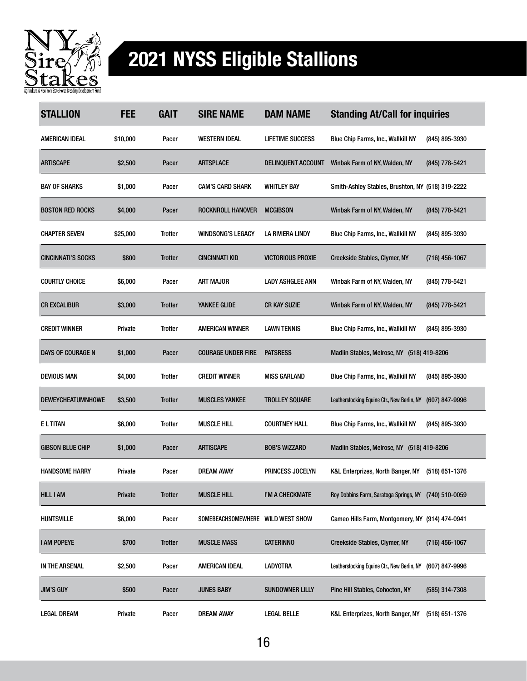

## 2021 NYSS Eligible Stallions

| <b>STALLION</b>           | <b>FEE</b> | <b>GAIT</b>    | <b>SIRE NAME</b>                  | <b>DAM NAME</b>           | <b>Standing At/Call for inquiries</b>                 |                  |
|---------------------------|------------|----------------|-----------------------------------|---------------------------|-------------------------------------------------------|------------------|
| AMERICAN IDEAL            | \$10,000   | Pacer          | <b>WESTERN IDEAL</b>              | <b>LIFETIME SUCCESS</b>   | <b>Blue Chip Farms, Inc., Wallkill NY</b>             | (845) 895-3930   |
| <b>ARTISCAPE</b>          | \$2,500    | Pacer          | <b>ARTSPLACE</b>                  | <b>DELINQUENT ACCOUNT</b> | Winbak Farm of NY, Walden, NY                         | (845) 778-5421   |
| <b>BAY OF SHARKS</b>      | \$1,000    | Pacer          | <b>CAM'S CARD SHARK</b>           | <b>WHITLEY BAY</b>        | Smith-Ashley Stables, Brushton, NY (518) 319-2222     |                  |
| <b>BOSTON RED ROCKS</b>   | \$4,000    | Pacer          | ROCKNROLL HANOVER                 | <b>MCGIBSON</b>           | Winbak Farm of NY, Walden, NY                         | (845) 778-5421   |
| <b>CHAPTER SEVEN</b>      | \$25,000   | Trotter        | <b>WINDSONG'S LEGACY</b>          | LA RIVIERA LINDY          | Blue Chip Farms, Inc., Wallkill NY                    | (845) 895-3930   |
| <b>CINCINNATI'S SOCKS</b> | \$800      | <b>Trotter</b> | <b>CINCINNATI KID</b>             | <b>VICTORIOUS PROXIE</b>  | Creekside Stables, Clymer, NY                         | (716) 456-1067   |
| <b>COURTLY CHOICE</b>     | \$6,000    | Pacer          | <b>ART MAJOR</b>                  | <b>LADY ASHGLEE ANN</b>   | Winbak Farm of NY, Walden, NY                         | (845) 778-5421   |
| <b>CR EXCALIBUR</b>       | \$3,000    | <b>Trotter</b> | <b>YANKEE GLIDE</b>               | <b>CR KAY SUZIE</b>       | Winbak Farm of NY, Walden, NY                         | (845) 778-5421   |
| <b>CREDIT WINNER</b>      | Private    | Trotter        | AMERICAN WINNER                   | <b>LAWN TENNIS</b>        | Blue Chip Farms, Inc., Wallkill NY                    | (845) 895-3930   |
| DAYS OF COURAGE N         | \$1,000    | Pacer          | <b>COURAGE UNDER FIRE</b>         | <b>PATSRESS</b>           | Madlin Stables, Melrose, NY (518) 419-8206            |                  |
| <b>DEVIOUS MAN</b>        | \$4,000    | Trotter        | <b>CREDIT WINNER</b>              | <b>MISS GARLAND</b>       | Blue Chip Farms, Inc., Wallkill NY                    | (845) 895-3930   |
| <b>DEWEYCHEATUMNHOWE</b>  | \$3,500    | Trotter        | <b>MUSCLES YANKEE</b>             | <b>TROLLEY SQUARE</b>     | Leatherstocking Equine Ctr., New Berlin, NY           | $(607)$ 847-9996 |
| <b>ELTITAN</b>            | \$6,000    | <b>Trotter</b> | <b>MUSCLE HILL</b>                | <b>COURTNEY HALL</b>      | <b>Blue Chip Farms, Inc., Wallkill NY</b>             | (845) 895-3930   |
| <b>GIBSON BLUE CHIP</b>   | \$1,000    | Pacer          | <b>ARTISCAPE</b>                  | <b>BOB'S WIZZARD</b>      | Madlin Stables, Melrose, NY (518) 419-8206            |                  |
| <b>HANDSOME HARRY</b>     | Private    | Pacer          | <b>DREAM AWAY</b>                 | PRINCESS JOCELYN          | K&L Enterprizes, North Banger, NY                     | $(518)$ 651-1376 |
| <b>HILL I AM</b>          | Private    | <b>Trotter</b> | <b>MUSCLE HILL</b>                | I'M A CHECKMATE           | Roy Dobbins Farm, Saratoga Springs, NY (740) 510-0059 |                  |
| <b>HUNTSVILLE</b>         | \$6,000    | Pacer          | SOMEBEACHSOMEWHERE WILD WEST SHOW |                           | Cameo Hills Farm, Montgomery, NY (914) 474-0941       |                  |
| <b>I AM POPEYE</b>        | \$700      | <b>Trotter</b> | <b>MUSCLE MASS</b>                | <b>CATERINNO</b>          | Creekside Stables, Clymer, NY                         | (716) 456-1067   |
| IN THE ARSENAL            | \$2,500    | Pacer          | AMERICAN IDEAL                    | <b>LADYOTRA</b>           | Leatherstocking Equine Ctr., New Berlin, NY           | (607) 847-9996   |
| <b>JIM'S GUY</b>          | \$500      | Pacer          | <b>JUNES BABY</b>                 | <b>SUNDOWNER LILLY</b>    | Pine Hill Stables, Cohocton, NY                       | (585) 314-7308   |
| <b>LEGAL DREAM</b>        | Private    | Pacer          | DREAM AWAY                        | <b>LEGAL BELLE</b>        | K&L Enterprizes, North Banger, NY                     | (518) 651-1376   |